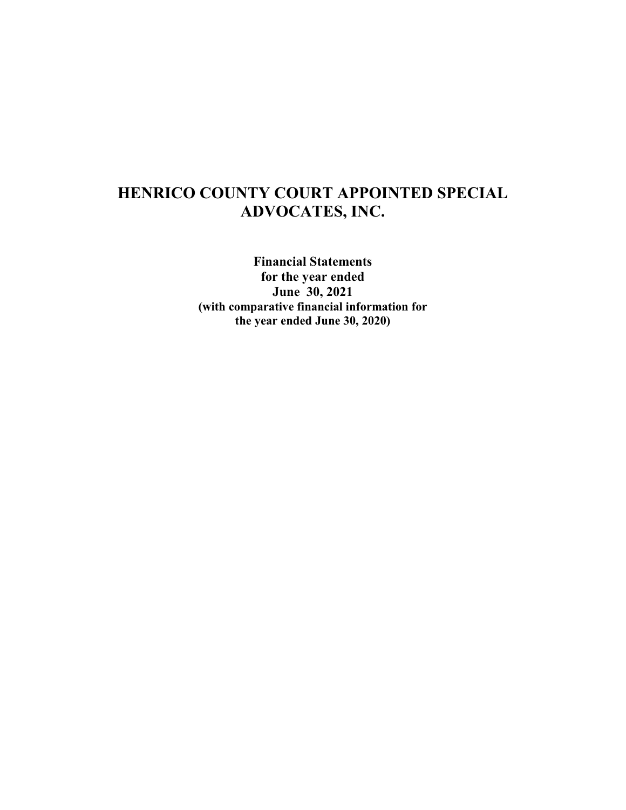# **HENRICO COUNTY COURT APPOINTED SPECIAL ADVOCATES, INC.**

**Financial Statements for the year ended June 30, 2021 (with comparative financial information for the year ended June 30, 2020)**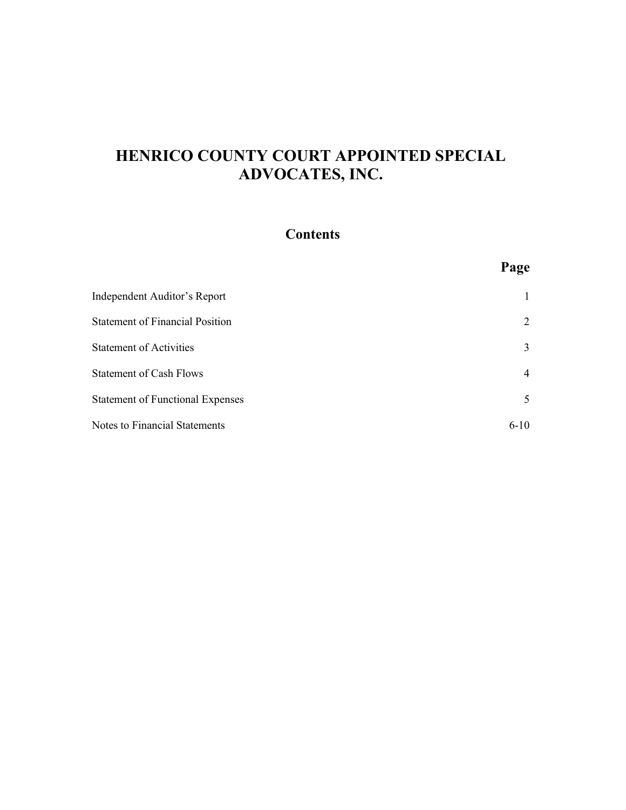# **HENRICO COUNTY COURT APPOINTED SPECIAL ADVOCATES, INC.**

# **Contents**

|                                         | Page     |
|-----------------------------------------|----------|
| Independent Auditor's Report            | 1        |
| <b>Statement of Financial Position</b>  | 2        |
| <b>Statement of Activities</b>          | 3        |
| <b>Statement of Cash Flows</b>          | 4        |
| <b>Statement of Functional Expenses</b> | 5        |
| <b>Notes to Financial Statements</b>    | $6 - 10$ |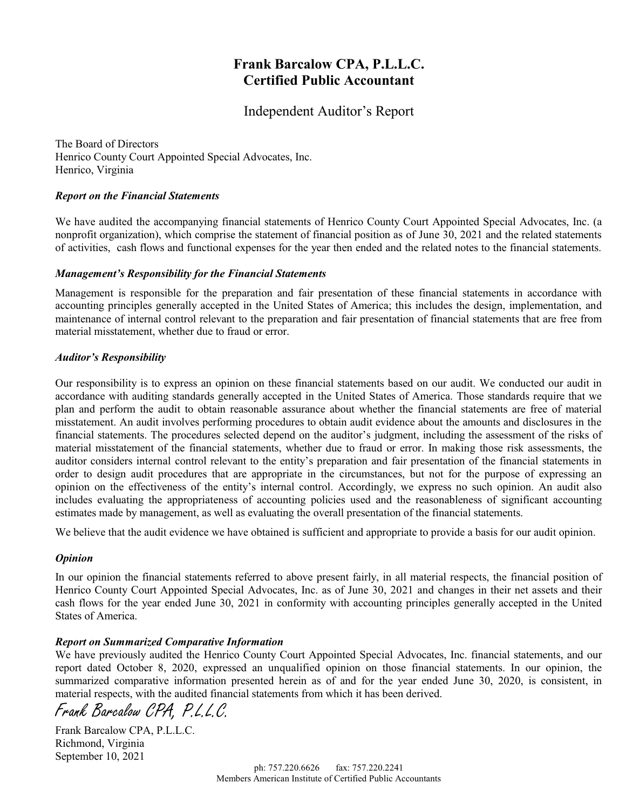# **Frank Barcalow CPA, P.L.L.C. Certified Public Accountant**

Independent Auditor's Report

The Board of Directors Henrico County Court Appointed Special Advocates, Inc. Henrico, Virginia

### *Report on the Financial Statements*

We have audited the accompanying financial statements of Henrico County Court Appointed Special Advocates, Inc. (a nonprofit organization), which comprise the statement of financial position as of June 30, 2021 and the related statements of activities, cash flows and functional expenses for the year then ended and the related notes to the financial statements.

#### *Management's Responsibility for the Financial Statements*

Management is responsible for the preparation and fair presentation of these financial statements in accordance with accounting principles generally accepted in the United States of America; this includes the design, implementation, and maintenance of internal control relevant to the preparation and fair presentation of financial statements that are free from material misstatement, whether due to fraud or error.

### *Auditor's Responsibility*

Our responsibility is to express an opinion on these financial statements based on our audit. We conducted our audit in accordance with auditing standards generally accepted in the United States of America. Those standards require that we plan and perform the audit to obtain reasonable assurance about whether the financial statements are free of material misstatement. An audit involves performing procedures to obtain audit evidence about the amounts and disclosures in the financial statements. The procedures selected depend on the auditor's judgment, including the assessment of the risks of material misstatement of the financial statements, whether due to fraud or error. In making those risk assessments, the auditor considers internal control relevant to the entity's preparation and fair presentation of the financial statements in order to design audit procedures that are appropriate in the circumstances, but not for the purpose of expressing an opinion on the effectiveness of the entity's internal control. Accordingly, we express no such opinion. An audit also includes evaluating the appropriateness of accounting policies used and the reasonableness of significant accounting estimates made by management, as well as evaluating the overall presentation of the financial statements.

We believe that the audit evidence we have obtained is sufficient and appropriate to provide a basis for our audit opinion.

### *Opinion*

In our opinion the financial statements referred to above present fairly, in all material respects, the financial position of Henrico County Court Appointed Special Advocates, Inc. as of June 30, 2021 and changes in their net assets and their cash flows for the year ended June 30, 2021 in conformity with accounting principles generally accepted in the United States of America.

### *Report on Summarized Comparative Information*

We have previously audited the Henrico County Court Appointed Special Advocates, Inc. financial statements, and our report dated October 8, 2020, expressed an unqualified opinion on those financial statements. In our opinion, the summarized comparative information presented herein as of and for the year ended June 30, 2020, is consistent, in material respects, with the audited financial statements from which it has been derived.

Frank Barcalow CPA, P.L.L.C.

Frank Barcalow CPA, P.L.L.C. Richmond, Virginia September 10, 2021

ph: 757.220.6626 fax: 757.220.2241 Members American Institute of Certified Public Accountants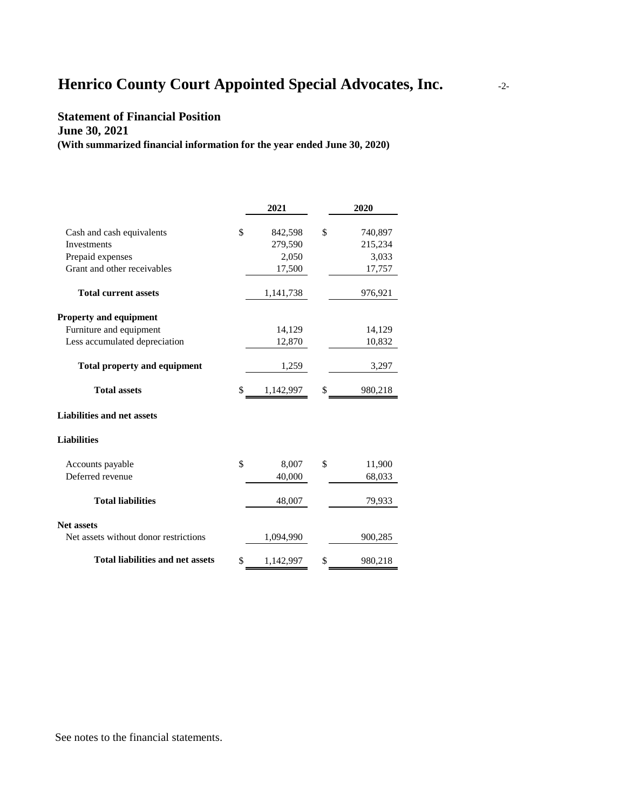# **Henrico County Court Appointed Special Advocates, Inc.** -2-

## **Statement of Financial Position**

#### **June 30, 2021**

**(With summarized financial information for the year ended June 30, 2020)**

|                                         | 2021            | 2020          |
|-----------------------------------------|-----------------|---------------|
| Cash and cash equivalents               | \$<br>842,598   | \$<br>740,897 |
| <b>Investments</b>                      | 279,590         | 215,234       |
| Prepaid expenses                        | 2,050           | 3,033         |
| Grant and other receivables             | 17,500          | 17,757        |
| <b>Total current assets</b>             | 1,141,738       | 976,921       |
| <b>Property and equipment</b>           |                 |               |
| Furniture and equipment                 | 14,129          | 14,129        |
| Less accumulated depreciation           | 12,870          | 10,832        |
| <b>Total property and equipment</b>     | 1,259           | 3,297         |
| <b>Total assets</b>                     | \$<br>1,142,997 | 980,218       |
| <b>Liabilities and net assets</b>       |                 |               |
| <b>Liabilities</b>                      |                 |               |
| Accounts payable                        | \$<br>8,007     | \$<br>11,900  |
| Deferred revenue                        | 40,000          | 68,033        |
| <b>Total liabilities</b>                | 48,007          | 79,933        |
| <b>Net assets</b>                       |                 |               |
| Net assets without donor restrictions   | 1,094,990       | 900,285       |
| <b>Total liabilities and net assets</b> | \$<br>1,142,997 | \$<br>980,218 |

See notes to the financial statements.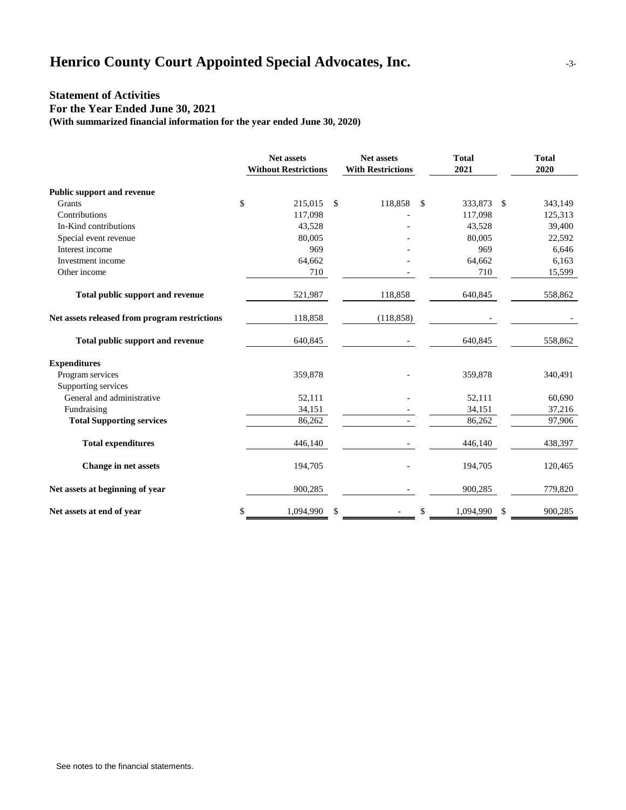# **Henrico County Court Appointed Special Advocates, Inc.** -3-

### **Statement of Activities For the Year Ended June 30, 2021**

**(With summarized financial information for the year ended June 30, 2020)**

|                                               | <b>Net assets</b><br><b>Without Restrictions</b> |               | <b>Net assets</b><br><b>With Restrictions</b> |              | <b>Total</b><br>2021 | <b>Total</b><br>2020 |
|-----------------------------------------------|--------------------------------------------------|---------------|-----------------------------------------------|--------------|----------------------|----------------------|
| <b>Public support and revenue</b>             |                                                  |               |                                               |              |                      |                      |
| Grants                                        | \$<br>215,015                                    | <sup>\$</sup> | 118,858                                       | $\mathbb{S}$ | 333,873 \$           | 343,149              |
| Contributions                                 | 117,098                                          |               |                                               |              | 117,098              | 125,313              |
| In-Kind contributions                         | 43,528                                           |               |                                               |              | 43,528               | 39,400               |
| Special event revenue                         | 80,005                                           |               |                                               |              | 80,005               | 22,592               |
| Interest income                               | 969                                              |               |                                               |              | 969                  | 6,646                |
| Investment income                             | 64,662                                           |               |                                               |              | 64,662               | 6,163                |
| Other income                                  | 710                                              |               |                                               |              | 710                  | 15,599               |
| <b>Total public support and revenue</b>       | 521,987                                          |               | 118,858                                       |              | 640,845              | 558,862              |
| Net assets released from program restrictions | 118,858                                          |               | (118, 858)                                    |              |                      |                      |
| Total public support and revenue              | 640,845                                          |               |                                               |              | 640,845              | 558,862              |
| <b>Expenditures</b>                           |                                                  |               |                                               |              |                      |                      |
| Program services                              | 359,878                                          |               |                                               |              | 359,878              | 340,491              |
| Supporting services                           |                                                  |               |                                               |              |                      |                      |
| General and administrative                    | 52,111                                           |               |                                               |              | 52,111               | 60,690               |
| Fundraising                                   | 34,151                                           |               |                                               |              | 34,151               | 37,216               |
| <b>Total Supporting services</b>              | 86,262                                           |               |                                               |              | 86,262               | 97,906               |
| <b>Total expenditures</b>                     | 446,140                                          |               |                                               |              | 446,140              | 438,397              |
| <b>Change in net assets</b>                   | 194,705                                          |               |                                               |              | 194,705              | 120,465              |
| Net assets at beginning of year               | 900,285                                          |               |                                               |              | 900,285              | 779,820              |
| Net assets at end of year                     | \$<br>1,094,990                                  | \$            |                                               | \$           | 1,094,990 \$         | 900,285              |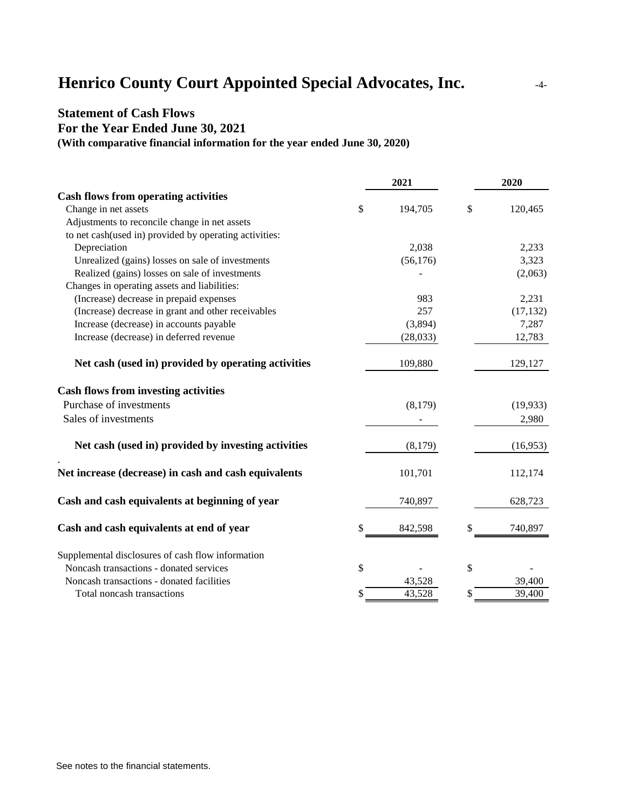# **Henrico County Court Appointed Special Advocates, Inc.** -4-

# **Statement of Cash Flows**

**For the Year Ended June 30, 2021**

**(With comparative financial information for the year ended June 30, 2020)**

|                                                        | 2021         |           | 2020          |
|--------------------------------------------------------|--------------|-----------|---------------|
| <b>Cash flows from operating activities</b>            |              |           |               |
| Change in net assets                                   | $\mathbb{S}$ | 194,705   | \$<br>120,465 |
| Adjustments to reconcile change in net assets          |              |           |               |
| to net cash(used in) provided by operating activities: |              |           |               |
| Depreciation                                           |              | 2,038     | 2,233         |
| Unrealized (gains) losses on sale of investments       |              | (56, 176) | 3,323         |
| Realized (gains) losses on sale of investments         |              |           | (2,063)       |
| Changes in operating assets and liabilities:           |              |           |               |
| (Increase) decrease in prepaid expenses                |              | 983       | 2,231         |
| (Increase) decrease in grant and other receivables     |              | 257       | (17, 132)     |
| Increase (decrease) in accounts payable                |              | (3,894)   | 7,287         |
| Increase (decrease) in deferred revenue                |              | (28,033)  | 12,783        |
| Net cash (used in) provided by operating activities    |              | 109,880   | 129,127       |
| <b>Cash flows from investing activities</b>            |              |           |               |
| Purchase of investments                                |              | (8,179)   | (19, 933)     |
| Sales of investments                                   |              |           | 2,980         |
| Net cash (used in) provided by investing activities    |              | (8,179)   | (16,953)      |
| Net increase (decrease) in cash and cash equivalents   |              | 101,701   | 112,174       |
| Cash and cash equivalents at beginning of year         |              | 740,897   | 628,723       |
| Cash and cash equivalents at end of year               | \$           | 842,598   | \$<br>740,897 |
| Supplemental disclosures of cash flow information      |              |           |               |
| Noncash transactions - donated services                | \$           |           | \$            |
| Noncash transactions - donated facilities              |              | 43,528    | 39,400        |
| Total noncash transactions                             | \$           | 43,528    | \$<br>39,400  |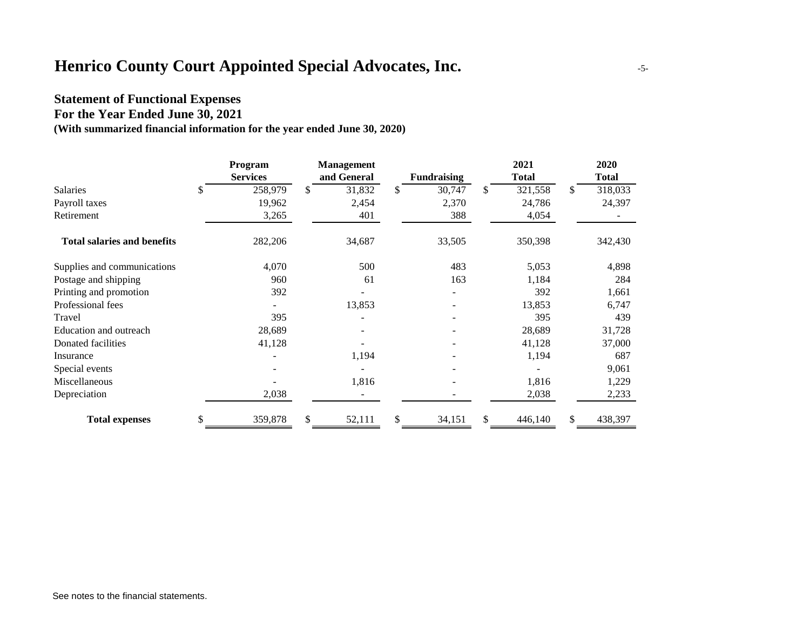# **Henrico County Court Appointed Special Advocates, Inc.** -5-

# **Statement of Functional Expenses**

# **For the Year Ended June 30, 2021**

**(With summarized financial information for the year ended June 30, 2020)**

|                                    | Program                  | <b>Management</b> |                    |     | 2021         | 2020          |
|------------------------------------|--------------------------|-------------------|--------------------|-----|--------------|---------------|
|                                    | <b>Services</b>          | and General       | <b>Fundraising</b> |     | <b>Total</b> | <b>Total</b>  |
| Salaries                           | 258,979                  | \$<br>31,832      | \$<br>30,747       | \$. | 321,558      | \$<br>318,033 |
| Payroll taxes                      | 19,962                   | 2,454             | 2,370              |     | 24,786       | 24,397        |
| Retirement                         | 3,265                    | 401               | 388                |     | 4,054        |               |
| <b>Total salaries and benefits</b> | 282,206                  | 34,687            | 33,505             |     | 350,398      | 342,430       |
| Supplies and communications        | 4,070                    | 500               | 483                |     | 5,053        | 4,898         |
| Postage and shipping               | 960                      | 61                | 163                |     | 1,184        | 284           |
| Printing and promotion             | 392                      |                   |                    |     | 392          | 1,661         |
| Professional fees                  | $\overline{\phantom{a}}$ | 13,853            |                    |     | 13,853       | 6,747         |
| Travel                             | 395                      |                   |                    |     | 395          | 439           |
| Education and outreach             | 28,689                   |                   |                    |     | 28,689       | 31,728        |
| Donated facilities                 | 41,128                   |                   |                    |     | 41,128       | 37,000        |
| Insurance                          | ۰                        | 1,194             |                    |     | 1,194        | 687           |
| Special events                     |                          |                   |                    |     |              | 9,061         |
| Miscellaneous                      |                          | 1,816             |                    |     | 1,816        | 1,229         |
| Depreciation                       | 2,038                    |                   |                    |     | 2,038        | 2,233         |
| <b>Total expenses</b>              | 359,878                  | \$<br>52,111      | \$<br>34,151       | \$  | 446,140      | \$<br>438,397 |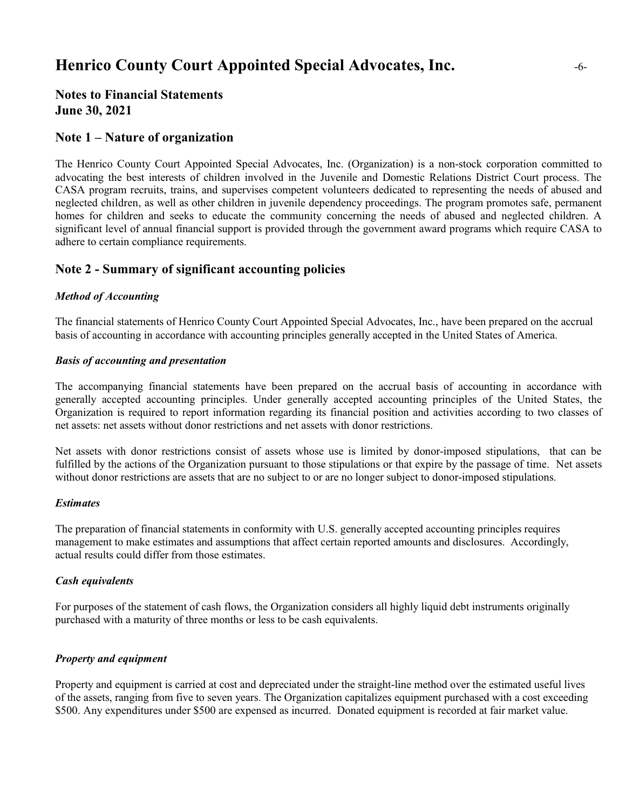# **Henrico County Court Appointed Special Advocates, Inc.** -6-

**Notes to Financial Statements June 30, 2021** 

### **Note 1 – Nature of organization**

The Henrico County Court Appointed Special Advocates, Inc. (Organization) is a non-stock corporation committed to advocating the best interests of children involved in the Juvenile and Domestic Relations District Court process. The CASA program recruits, trains, and supervises competent volunteers dedicated to representing the needs of abused and neglected children, as well as other children in juvenile dependency proceedings. The program promotes safe, permanent homes for children and seeks to educate the community concerning the needs of abused and neglected children. A significant level of annual financial support is provided through the government award programs which require CASA to adhere to certain compliance requirements.

## **Note 2 - Summary of significant accounting policies**

#### *Method of Accounting*

The financial statements of Henrico County Court Appointed Special Advocates, Inc., have been prepared on the accrual basis of accounting in accordance with accounting principles generally accepted in the United States of America.

### *Basis of accounting and presentation*

The accompanying financial statements have been prepared on the accrual basis of accounting in accordance with generally accepted accounting principles. Under generally accepted accounting principles of the United States, the Organization is required to report information regarding its financial position and activities according to two classes of net assets: net assets without donor restrictions and net assets with donor restrictions.

Net assets with donor restrictions consist of assets whose use is limited by donor-imposed stipulations, that can be fulfilled by the actions of the Organization pursuant to those stipulations or that expire by the passage of time. Net assets without donor restrictions are assets that are no subject to or are no longer subject to donor-imposed stipulations.

#### *Estimates*

The preparation of financial statements in conformity with U.S. generally accepted accounting principles requires management to make estimates and assumptions that affect certain reported amounts and disclosures. Accordingly, actual results could differ from those estimates.

#### *Cash equivalents*

For purposes of the statement of cash flows, the Organization considers all highly liquid debt instruments originally purchased with a maturity of three months or less to be cash equivalents.

### *Property and equipment*

Property and equipment is carried at cost and depreciated under the straight-line method over the estimated useful lives of the assets, ranging from five to seven years. The Organization capitalizes equipment purchased with a cost exceeding \$500. Any expenditures under \$500 are expensed as incurred. Donated equipment is recorded at fair market value.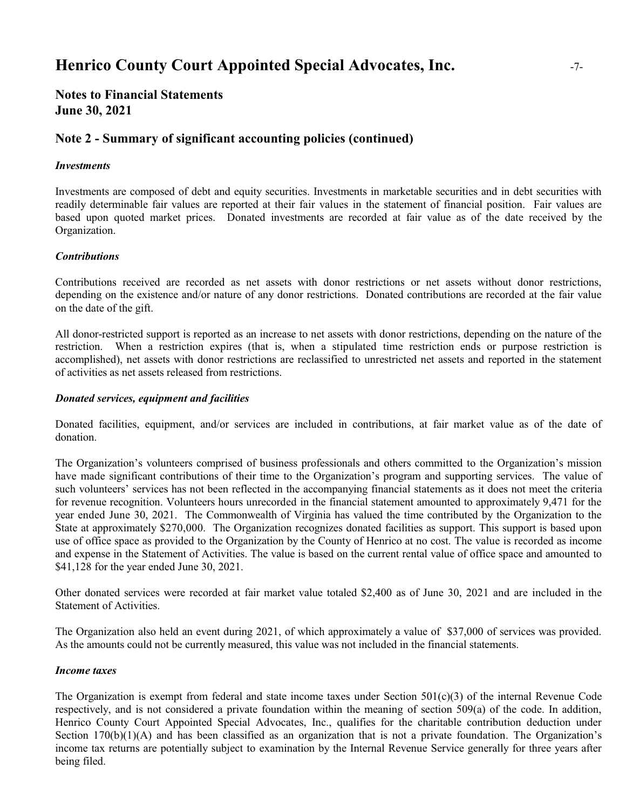# **Henrico County Court Appointed Special Advocates, Inc.** -7-

**Notes to Financial Statements June 30, 2021** 

## **Note 2 - Summary of significant accounting policies (continued)**

### *Investments*

Investments are composed of debt and equity securities. Investments in marketable securities and in debt securities with readily determinable fair values are reported at their fair values in the statement of financial position. Fair values are based upon quoted market prices. Donated investments are recorded at fair value as of the date received by the Organization.

#### *Contributions*

Contributions received are recorded as net assets with donor restrictions or net assets without donor restrictions, depending on the existence and/or nature of any donor restrictions. Donated contributions are recorded at the fair value on the date of the gift.

All donor-restricted support is reported as an increase to net assets with donor restrictions, depending on the nature of the restriction. When a restriction expires (that is, when a stipulated time restriction ends or purpose restriction is accomplished), net assets with donor restrictions are reclassified to unrestricted net assets and reported in the statement of activities as net assets released from restrictions.

#### *Donated services, equipment and facilities*

Donated facilities, equipment, and/or services are included in contributions, at fair market value as of the date of donation.

The Organization's volunteers comprised of business professionals and others committed to the Organization's mission have made significant contributions of their time to the Organization's program and supporting services. The value of such volunteers' services has not been reflected in the accompanying financial statements as it does not meet the criteria for revenue recognition. Volunteers hours unrecorded in the financial statement amounted to approximately 9,471 for the year ended June 30, 2021. The Commonwealth of Virginia has valued the time contributed by the Organization to the State at approximately \$270,000. The Organization recognizes donated facilities as support. This support is based upon use of office space as provided to the Organization by the County of Henrico at no cost. The value is recorded as income and expense in the Statement of Activities. The value is based on the current rental value of office space and amounted to \$41,128 for the year ended June 30, 2021.

Other donated services were recorded at fair market value totaled \$2,400 as of June 30, 2021 and are included in the Statement of Activities.

The Organization also held an event during 2021, of which approximately a value of \$37,000 of services was provided. As the amounts could not be currently measured, this value was not included in the financial statements.

#### *Income taxes*

The Organization is exempt from federal and state income taxes under Section  $501(c)(3)$  of the internal Revenue Code respectively, and is not considered a private foundation within the meaning of section 509(a) of the code. In addition, Henrico County Court Appointed Special Advocates, Inc., qualifies for the charitable contribution deduction under Section 170(b)(1)(A) and has been classified as an organization that is not a private foundation. The Organization's income tax returns are potentially subject to examination by the Internal Revenue Service generally for three years after being filed.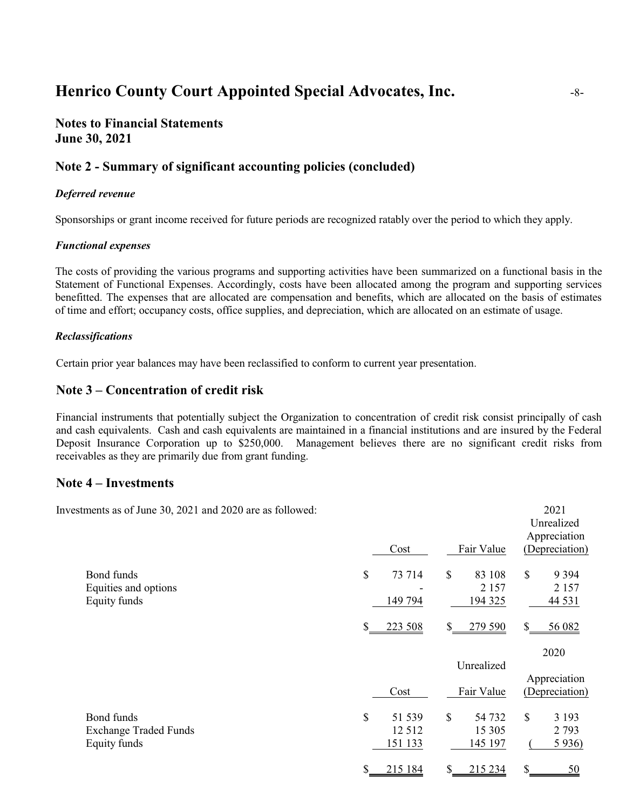# **Henrico County Court Appointed Special Advocates, Inc.** -8-

# **Notes to Financial Statements June 30, 2021**

# **Note 2 - Summary of significant accounting policies (concluded)**

### *Deferred revenue*

Sponsorships or grant income received for future periods are recognized ratably over the period to which they apply.

### *Functional expenses*

The costs of providing the various programs and supporting activities have been summarized on a functional basis in the Statement of Functional Expenses. Accordingly, costs have been allocated among the program and supporting services benefitted. The expenses that are allocated are compensation and benefits, which are allocated on the basis of estimates of time and effort; occupancy costs, office supplies, and depreciation, which are allocated on an estimate of usage.

### *Reclassifications*

Certain prior year balances may have been reclassified to conform to current year presentation.

## **Note 3 – Concentration of credit risk**

Financial instruments that potentially subject the Organization to concentration of credit risk consist principally of cash and cash equivalents. Cash and cash equivalents are maintained in a financial institutions and are insured by the Federal Deposit Insurance Corporation up to \$250,000. Management believes there are no significant credit risks from receivables as they are primarily due from grant funding.

## **Note 4 – Investments**

Investments as of June 30, 2021 and 2020 are as followed: 2021

|                              | Cost                    | Fair Value    | Unrealized<br>Appreciation<br>(Depreciation) |
|------------------------------|-------------------------|---------------|----------------------------------------------|
| Bond funds                   | $\mathcal{S}$<br>73 714 | \$<br>83 108  | \$<br>9 3 9 4                                |
| Equities and options         | -                       | 2 1 5 7       | 2 1 5 7                                      |
| Equity funds                 | 149 794                 | 194 325       | 44 5 3 1                                     |
|                              | \$<br>223 508           | \$<br>279 590 | \$.<br>56 082                                |
|                              |                         |               | 2020                                         |
|                              |                         | Unrealized    |                                              |
|                              |                         |               | Appreciation                                 |
|                              | Cost                    | Fair Value    | (Depreciation)                               |
| Bond funds                   | \$<br>51 539            | \$<br>54 732  | \$<br>3 1 9 3                                |
| <b>Exchange Traded Funds</b> | 12 5 12                 | 15 305        | 2 7 9 3                                      |
| Equity funds                 | 151 133                 | 145 197       | 5 9 3 6 )                                    |
|                              | \$<br>215 184           | \$<br>215 234 | \$<br>50                                     |
|                              |                         |               |                                              |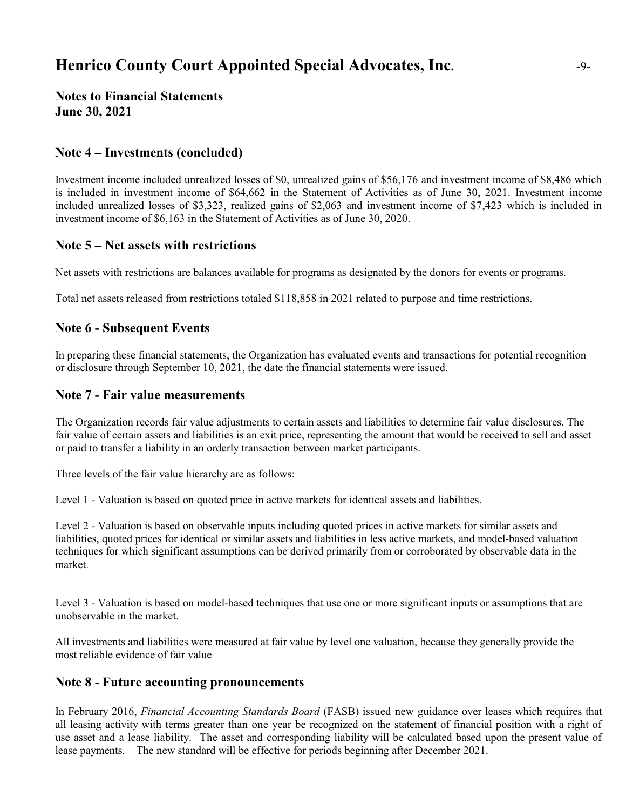# **Henrico County Court Appointed Special Advocates, Inc.** -9-

**Notes to Financial Statements June 30, 2021**

## **Note 4 – Investments (concluded)**

Investment income included unrealized losses of \$0, unrealized gains of \$56,176 and investment income of \$8,486 which is included in investment income of \$64,662 in the Statement of Activities as of June 30, 2021. Investment income included unrealized losses of \$3,323, realized gains of \$2,063 and investment income of \$7,423 which is included in investment income of \$6,163 in the Statement of Activities as of June 30, 2020.

## **Note 5 – Net assets with restrictions**

Net assets with restrictions are balances available for programs as designated by the donors for events or programs.

Total net assets released from restrictions totaled \$118,858 in 2021 related to purpose and time restrictions.

## **Note 6 - Subsequent Events**

In preparing these financial statements, the Organization has evaluated events and transactions for potential recognition or disclosure through September 10, 2021, the date the financial statements were issued.

### **Note 7 - Fair value measurements**

The Organization records fair value adjustments to certain assets and liabilities to determine fair value disclosures. The fair value of certain assets and liabilities is an exit price, representing the amount that would be received to sell and asset or paid to transfer a liability in an orderly transaction between market participants.

Three levels of the fair value hierarchy are as follows:

Level 1 - Valuation is based on quoted price in active markets for identical assets and liabilities.

Level 2 - Valuation is based on observable inputs including quoted prices in active markets for similar assets and liabilities, quoted prices for identical or similar assets and liabilities in less active markets, and model-based valuation techniques for which significant assumptions can be derived primarily from or corroborated by observable data in the market.

Level 3 - Valuation is based on model-based techniques that use one or more significant inputs or assumptions that are unobservable in the market.

All investments and liabilities were measured at fair value by level one valuation, because they generally provide the most reliable evidence of fair value

## **Note 8 - Future accounting pronouncements**

In February 2016, *Financial Accounting Standards Board* (FASB) issued new guidance over leases which requires that all leasing activity with terms greater than one year be recognized on the statement of financial position with a right of use asset and a lease liability. The asset and corresponding liability will be calculated based upon the present value of lease payments. The new standard will be effective for periods beginning after December 2021.